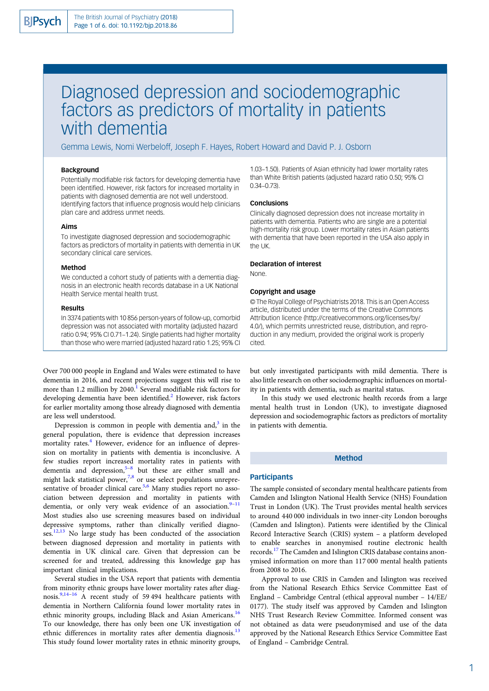# Diagnosed depression and sociodemographic factors as predictors of mortality in patients with dementia

Gemma Lewis, Nomi Werbeloff, Joseph F. Hayes, Robert Howard and David P. J. Osborn

# **Background**

Potentially modifiable risk factors for developing dementia have been identified. However, risk factors for increased mortality in patients with diagnosed dementia are not well understood. Identifying factors that influence prognosis would help clinicians plan care and address unmet needs.

# Aims

To investigate diagnosed depression and sociodemographic factors as predictors of mortality in patients with dementia in UK secondary clinical care services.

## Method

We conducted a cohort study of patients with a dementia diagnosis in an electronic health records database in a UK National Health Service mental health trust.

## Results

In 3374 patients with 10 856 person-years of follow-up, comorbid depression was not associated with mortality (adjusted hazard ratio 0.94; 95% CI 0.71–1.24). Single patients had higher mortality than those who were married (adjusted hazard ratio 1.25; 95% CI

Over 700 000 people in England and Wales were estimated to have dementia in 2016, and recent projections suggest this will rise to more than [1](#page-4-0).2 million by  $2040<sup>1</sup>$  Several modifiable risk factors for developing dementia have been identified.<sup>[2](#page-4-0)</sup> However, risk factors for earlier mortality among those already diagnosed with dementia are less well understood.

Depression is common in people with dementia and, $3$  in the general population, there is evidence that depression increases mortality rates.<sup>[4](#page-4-0)</sup> However, evidence for an influence of depression on mortality in patients with dementia is inconclusive. A few studies report increased mortality rates in patients with dementia and depression,<sup>[5](#page-4-0)-[8](#page-4-0)</sup> but these are either small and might lack statistical power,<sup>[7,8](#page-4-0)</sup> or use select populations unrepre-sentative of broader clinical care.<sup>[5,6](#page-4-0)</sup> Many studies report no association between depression and mortality in patients with dementia, or only very weak evidence of an association. $9-11$  $9-11$  $9-11$ Most studies also use screening measures based on individual depressive symptoms, rather than clinically verified diagno-ses.<sup>[12](#page-4-0),[13](#page-4-0)</sup> No large study has been conducted of the association between diagnosed depression and mortality in patients with dementia in UK clinical care. Given that depression can be screened for and treated, addressing this knowledge gap has important clinical implications.

Several studies in the USA report that patients with dementia from minority ethnic groups have lower mortality rates after diagnosis.[9,14](#page-4-0)–[16](#page-4-0) A recent study of 59 494 healthcare patients with dementia in Northern California found lower mortality rates in ethnic minority groups, including Black and Asian Americans.<sup>[16](#page-4-0)</sup> To our knowledge, there has only been one UK investigation of ethnic differences in mortality rates after dementia diagnosis.<sup>[13](#page-4-0)</sup> This study found lower mortality rates in ethnic minority groups, 1.03–1.50). Patients of Asian ethnicity had lower mortality rates than White British patients (adjusted hazard ratio 0.50; 95% CI 0.34–0.73).

#### **Conclusions**

Clinically diagnosed depression does not increase mortality in patients with dementia. Patients who are single are a potential high-mortality risk group. Lower mortality rates in Asian patients with dementia that have been reported in the USA also apply in the UK.

#### Declaration of interest

None.

# Copyright and usage

© The Royal College of Psychiatrists 2018. This is an Open Access article, distributed under the terms of the Creative Commons Attribution licence (http://creativecommons.org/licenses/by/ 4.0/), which permits unrestricted reuse, distribution, and reproduction in any medium, provided the original work is properly cited.

but only investigated participants with mild dementia. There is also little research on other sociodemographic influences on mortality in patients with dementia, such as marital status.

In this study we used electronic health records from a large mental health trust in London (UK), to investigate diagnosed depression and sociodemographic factors as predictors of mortality in patients with dementia.

#### Method

# **Participants**

The sample consisted of secondary mental healthcare patients from Camden and Islington National Health Service (NHS) Foundation Trust in London (UK). The Trust provides mental health services to around 440 000 individuals in two inner-city London boroughs (Camden and Islington). Patients were identified by the Clinical Record Interactive Search (CRIS) system – a platform developed to enable searches in anonymised routine electronic health records.[17](#page-4-0) The Camden and Islington CRIS database contains anonymised information on more than 117 000 mental health patients from 2008 to 2016.

Approval to use CRIS in Camden and Islington was received from the National Research Ethics Service Committee East of England – Cambridge Central (ethical approval number – 14/EE/ 0177). The study itself was approved by Camden and Islington NHS Trust Research Review Committee. Informed consent was not obtained as data were pseudonymised and use of the data approved by the National Research Ethics Service Committee East of England – Cambridge Central.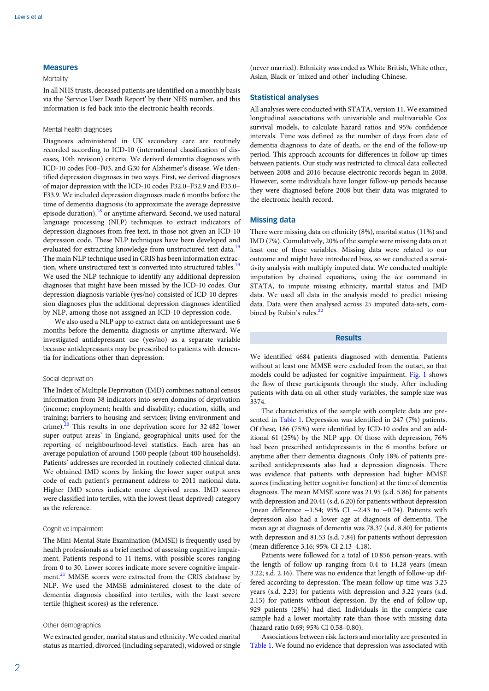# Measures

# **Mortality**

In all NHS trusts, deceased patients are identified on a monthly basis via the 'Service User Death Report' by their NHS number, and this information is fed back into the electronic health records.

# Mental health diagnoses

Diagnoses administered in UK secondary care are routinely recorded according to ICD-10 (international classification of diseases, 10th revision) criteria. We derived dementia diagnoses with ICD-10 codes F00–F03, and G30 for Alzheimer's disease. We identified depression diagnoses in two ways. First, we derived diagnoses of major depression with the ICD-10 codes F32.0–F32.9 and F33.0– F33.9. We included depression diagnoses made 6 months before the time of dementia diagnosis (to approximate the average depressive episode duration), $18$  or anytime afterward. Second, we used natural language processing (NLP) techniques to extract indicators of depression diagnoses from free text, in those not given an ICD-10 depression code. These NLP techniques have been developed and evaluated for extracting knowledge from unstructured text data.<sup>[19](#page-4-0)</sup> The main NLP technique used in CRIS has been information extrac-tion, where unstructured text is converted into structured tables.<sup>[19](#page-4-0)</sup> We used the NLP technique to identify any additional depression diagnoses that might have been missed by the ICD-10 codes. Our depression diagnosis variable (yes/no) consisted of ICD-10 depression diagnoses plus the additional depression diagnoses identified by NLP, among those not assigned an ICD-10 depression code.

We also used a NLP app to extract data on antidepressant use 6 months before the dementia diagnosis or anytime afterward. We investigated antidepressant use (yes/no) as a separate variable because antidepressants may be prescribed to patients with dementia for indications other than depression.

#### Social deprivation

The Index of Multiple Deprivation (IMD) combines national census information from 38 indicators into seven domains of deprivation (income; employment; health and disability; education, skills, and training; barriers to housing and services; living environment and crime).[20](#page-4-0) This results in one deprivation score for 32 482 'lower super output areas' in England, geographical units used for the reporting of neighbourhood-level statistics. Each area has an average population of around 1500 people (about 400 households). Patients' addresses are recorded in routinely collected clinical data. We obtained IMD scores by linking the lower super output area code of each patient's permanent address to 2011 national data. Higher IMD scores indicate more deprived areas. IMD scores were classified into tertiles, with the lowest (least deprived) category as the reference.

# Cognitive impairment

The Mini-Mental State Examination (MMSE) is frequently used by health professionals as a brief method of assessing cognitive impairment. Patients respond to 11 items, with possible scores ranging from 0 to 30. Lower scores indicate more severe cognitive impair-ment.<sup>[21](#page-5-0)</sup> MMSE scores were extracted from the CRIS database by NLP. We used the MMSE administered closest to the date of dementia diagnosis classified into tertiles, with the least severe tertile (highest scores) as the reference.

#### Other demographics

We extracted gender, marital status and ethnicity. We coded marital status as married, divorced (including separated), widowed or single (never married). Ethnicity was coded as White British, White other, Asian, Black or 'mixed and other' including Chinese.

#### Statistical analyses

All analyses were conducted with STATA, version 11. We examined longitudinal associations with univariable and multivariable Cox survival models, to calculate hazard ratios and 95% confidence intervals. Time was defined as the number of days from date of dementia diagnosis to date of death, or the end of the follow-up period. This approach accounts for differences in follow-up times between patients. Our study was restricted to clinical data collected between 2008 and 2016 because electronic records began in 2008. However, some individuals have longer follow-up periods because they were diagnosed before 2008 but their data was migrated to the electronic health record.

### Missing data

There were missing data on ethnicity (8%), marital status (11%) and IMD (7%). Cumulatively, 20% of the sample were missing data on at least one of these variables. Missing data were related to our outcome and might have introduced bias, so we conducted a sensitivity analysis with multiply imputed data. We conducted multiple imputation by chained equations, using the ice command in STATA, to impute missing ethnicity, marital status and IMD data. We used all data in the analysis model to predict missing data. Data were then analysed across 25 imputed data-sets, combined by Rubin's rules. $^{22}$ 

## Results

We identified 4684 patients diagnosed with dementia. Patients without at least one MMSE were excluded from the outset, so that models could be adjusted for cognitive impairment. [Fig. 1](#page-2-0) shows the flow of these participants through the study. After including patients with data on all other study variables, the sample size was 3374.

The characteristics of the sample with complete data are presented in [Table 1](#page-2-0). Depression was identified in 247 (7%) patients. Of these, 186 (75%) were identified by ICD-10 codes and an additional 61 (25%) by the NLP app. Of those with depression, 76% had been prescribed antidepressants in the 6 months before or anytime after their dementia diagnosis. Only 18% of patients prescribed antidepressants also had a depression diagnosis. There was evidence that patients with depression had higher MMSE scores (indicating better cognitive function) at the time of dementia diagnosis. The mean MMSE score was 21.95 (s.d. 5.86) for patients with depression and 20.41 (s.d. 6.20) for patients without depression (mean difference −1.54; 95% CI −2.43 to −0.74). Patients with depression also had a lower age at diagnosis of dementia. The mean age at diagnosis of dementia was 78.37 (s.d. 8.80) for patients with depression and 81.53 (s.d. 7.84) for patients without depression (mean difference 3.16; 95% CI 2.13–4.18).

Patients were followed for a total of 10 856 person-years, with the length of follow-up ranging from 0.4 to 14.28 years (mean 3.22; s.d. 2.16). There was no evidence that length of follow-up differed according to depression. The mean follow-up time was 3.23 years (s.d. 2.23) for patients with depression and 3.22 years (s.d. 2.15) for patients without depression. By the end of follow-up, 929 patients (28%) had died. Individuals in the complete case sample had a lower mortality rate than those with missing data (hazard ratio 0.69; 95% CI 0.58–0.80).

Associations between risk factors and mortality are presented in [Table 1.](#page-2-0) We found no evidence that depression was associated with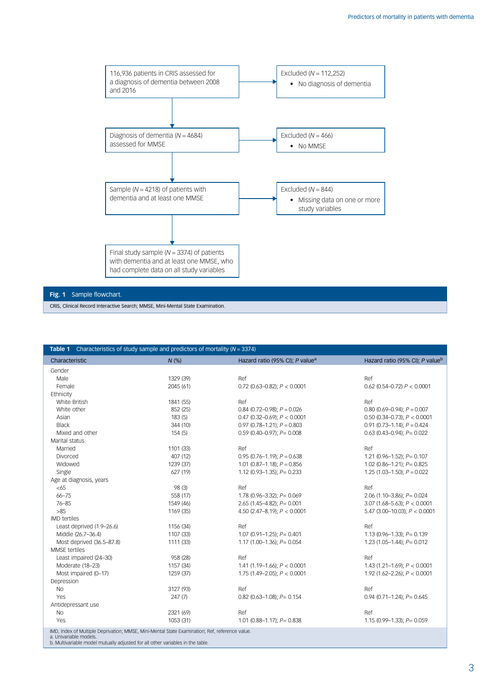<span id="page-2-0"></span>

CRIS, Clinical Record Interactive Search; MMSE, Mini-Mental State Examination.

| <b>Table 1</b> Characteristics of study sample and predictors of mortality ( $N = 3374$ )      |           |                                             |                                             |
|------------------------------------------------------------------------------------------------|-----------|---------------------------------------------|---------------------------------------------|
| Characteristic                                                                                 | $N$ (%)   | Hazard ratio (95% CI); P value <sup>a</sup> | Hazard ratio (95% CI); P value <sup>b</sup> |
| Gender                                                                                         |           |                                             |                                             |
| Male                                                                                           | 1329 (39) | Ref                                         | Ref                                         |
| Female                                                                                         | 2045 (61) | 0.72 (0.63-0.82); $P < 0.0001$              | $0.62$ (0.54-0.72) $P < 0.0001$             |
| Ethnicity                                                                                      |           |                                             |                                             |
| White British                                                                                  | 1841 (55) | Ref                                         | Ref                                         |
| White other                                                                                    | 852 (25)  | $0.84$ (0.72-0.98); $P = 0.026$             | $0.80$ (0.69-0.94); $P = 0.007$             |
| Asian                                                                                          | 183(5)    | 0.47 (0.32-0.69); $P < 0.0001$              | 0.50 (0.34-0.73); $P < 0.0001$              |
| <b>Black</b>                                                                                   | 344 (10)  | $0.97$ (0.78-1.21); $P = 0.803$             | $0.91$ (0.73-1.14); $P = 0.424$             |
| Mixed and other                                                                                | 154(5)    | $0.59$ (0.40-0.97); $P = 0.008$             | $0.63$ (0.43-0.94); $P = 0.022$             |
| Marital status                                                                                 |           |                                             |                                             |
| Married                                                                                        | 1101 (33) | Ref                                         | Ref                                         |
| Divorced                                                                                       | 407 (12)  | $0.95$ (0.76-1.19); $P = 0.638$             | 1.21 (0.96-1.52); $P = 0.107$               |
| Widowed                                                                                        | 1239 (37) | 1.01 (0.87-1.18); $P = 0.856$               | $1.02$ (0.86-1.21); $P = 0.825$             |
| Single                                                                                         | 627 (19)  | 1.12 (0.93-1.35); $P = 0.233$               | $1.25$ (1.03-1.50); $P = 0.022$             |
| Age at diagnosis, years                                                                        |           |                                             |                                             |
| <65                                                                                            | 98 (3)    | Ref                                         | Ref                                         |
| $66 - 75$                                                                                      | 558 (17)  | 1.78 (0.96-3.32); $P = 0.069$               | 2.06 (1.10-3.86); $P = 0.024$               |
| $76 - 85$                                                                                      | 1549 (46) | $2.65$ (1.45-4.82); $P = 0.001$             | 3.07 (1.68-5.63); $P < 0.0001$              |
| $>85$                                                                                          | 1169 (35) | 4.50 (2.47-8.19); $P < 0.0001$              | 5.47 (3.00-10.03); $P < 0.0001$             |
| <b>IMD</b> tertiles                                                                            |           |                                             |                                             |
| Least deprived (1.9-26.6)                                                                      | 1156 (34) | Ref                                         | Ref                                         |
| Middle (26.7-36.4)                                                                             | 1107 (33) | $1.07$ (0.91-1.25); $P = 0.401$             | $1.13$ (0.96-1.33); $P = 0.139$             |
| Most deprived (36.5-87.8)                                                                      | 1111 (33) | 1.17 $(1.00-1.36)$ ; $P = 0.054$            | $1.23$ (1.05-1.44); $P = 0.012$             |
| MMSE tertiles                                                                                  |           |                                             |                                             |
| Least impaired (24-30)                                                                         | 958 (28)  | Ref                                         | Ref                                         |
| Moderate (18-23)                                                                               | 1157 (34) | 1.41 (1.19-1.66); $P < 0.0001$              | 1.43 (1.21-1.69); $P < 0.0001$              |
| Most impaired (0-17)                                                                           | 1259 (37) | 1.75 (1.49-2.05); $P < 0.0001$              | 1.92 (1.62-2.26); $P < 0.0001$              |
| Depression                                                                                     |           |                                             |                                             |
| <b>No</b>                                                                                      | 3127 (93) | Ref                                         | Ref                                         |
| Yes                                                                                            | 247(7)    | $0.82$ (0.63-1.08); $P = 0.154$             | $0.94$ (0.71-1.24); $P = 0.645$             |
| Antidepressant use                                                                             |           |                                             |                                             |
| <b>No</b>                                                                                      | 2321 (69) | Ref                                         | Ref                                         |
| Yes                                                                                            | 1053 (31) | 1.01 (0.88-1.17); $P = 0.838$               | $1.15$ (0.99-1.33); $P = 0.059$             |
| IMD, Index of Multiple Deprivation; MMSE, Mini-Mental State Examination; Ref, reference value. |           |                                             |                                             |

a. Univariable models. b. Multivariable model mutually adjusted for all other variables in the table.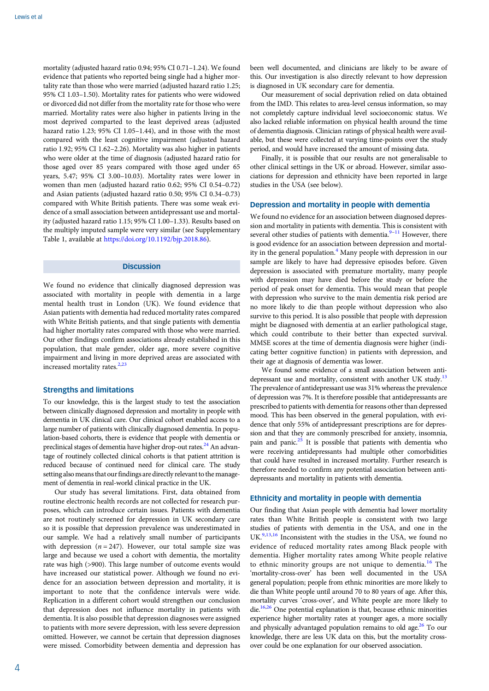mortality (adjusted hazard ratio 0.94; 95% CI 0.71–1.24). We found evidence that patients who reported being single had a higher mortality rate than those who were married (adjusted hazard ratio 1.25; 95% CI 1.03–1.50). Mortality rates for patients who were widowed or divorced did not differ from the mortality rate for those who were married. Mortality rates were also higher in patients living in the most deprived comparted to the least deprived areas (adjusted hazard ratio 1.23; 95% CI 1.05–1.44), and in those with the most compared with the least cognitive impairment (adjusted hazard ratio 1.92; 95% CI 1.62–2.26). Mortality was also higher in patients who were older at the time of diagnosis (adjusted hazard ratio for those aged over 85 years compared with those aged under 65 years, 5.47; 95% CI 3.00–10.03). Mortality rates were lower in women than men (adjusted hazard ratio 0.62; 95% CI 0.54–0.72) and Asian patients (adjusted hazard ratio 0.50; 95% CI 0.34–0.73) compared with White British patients. There was some weak evidence of a small association between antidepressant use and mortality (adjusted hazard ratio 1.15; 95% CI 1.00–1.33). Results based on the multiply imputed sample were very similar (see Supplementary Table 1, available at [https://doi.org/10.1192/bjp.2018.86\)](https://doi.org/10.1192/bjp.2018.86).

## **Discussion**

We found no evidence that clinically diagnosed depression was associated with mortality in people with dementia in a large mental health trust in London (UK). We found evidence that Asian patients with dementia had reduced mortality rates compared with White British patients, and that single patients with dementia had higher mortality rates compared with those who were married. Our other findings confirm associations already established in this population, that male gender, older age, more severe cognitive impairment and living in more deprived areas are associated with increased mortality rates. $2,23$  $2,23$  $2,23$ 

# Strengths and limitations

To our knowledge, this is the largest study to test the association between clinically diagnosed depression and mortality in people with dementia in UK clinical care. Our clinical cohort enabled access to a large number of patients with clinically diagnosed dementia. In population-based cohorts, there is evidence that people with dementia or preclinical stages of dementia have higher drop-out rates.<sup>[24](#page-5-0)</sup> An advantage of routinely collected clinical cohorts is that patient attrition is reduced because of continued need for clinical care. The study setting also means that our findings are directly relevant to the management of dementia in real-world clinical practice in the UK.

Our study has several limitations. First, data obtained from routine electronic health records are not collected for research purposes, which can introduce certain issues. Patients with dementia are not routinely screened for depression in UK secondary care so it is possible that depression prevalence was underestimated in our sample. We had a relatively small number of participants with depression ( $n = 247$ ). However, our total sample size was large and because we used a cohort with dementia, the mortality rate was high (>900). This large number of outcome events would have increased our statistical power. Although we found no evidence for an association between depression and mortality, it is important to note that the confidence intervals were wide. Replication in a different cohort would strengthen our conclusion that depression does not influence mortality in patients with dementia. It is also possible that depression diagnoses were assigned to patients with more severe depression, with less severe depression omitted. However, we cannot be certain that depression diagnoses were missed. Comorbidity between dementia and depression has

been well documented, and clinicians are likely to be aware of this. Our investigation is also directly relevant to how depression is diagnosed in UK secondary care for dementia.

Our measurement of social deprivation relied on data obtained from the IMD. This relates to area-level census information, so may not completely capture individual level socioeconomic status. We also lacked reliable information on physical health around the time of dementia diagnosis. Clinician ratings of physical health were available, but these were collected at varying time-points over the study period, and would have increased the amount of missing data.

Finally, it is possible that our results are not generalisable to other clinical settings in the UK or abroad. However, similar associations for depression and ethnicity have been reported in large studies in the USA (see below).

# Depression and mortality in people with dementia

We found no evidence for an association between diagnosed depression and mortality in patients with dementia. This is consistent with several other studies of patients with dementia. $\frac{9-11}{10}$  $\frac{9-11}{10}$  $\frac{9-11}{10}$  $\frac{9-11}{10}$  $\frac{9-11}{10}$  However, there is good evidence for an association between depression and mortal-ity in the general population.<sup>[4](#page-4-0)</sup> Many people with depression in our sample are likely to have had depressive episodes before. Given depression is associated with premature mortality, many people with depression may have died before the study or before the period of peak onset for dementia. This would mean that people with depression who survive to the main dementia risk period are no more likely to die than people without depression who also survive to this period. It is also possible that people with depression might be diagnosed with dementia at an earlier pathological stage, which could contribute to their better than expected survival. MMSE scores at the time of dementia diagnosis were higher (indicating better cognitive function) in patients with depression, and their age at diagnosis of dementia was lower.

We found some evidence of a small association between antidepressant use and mortality, consistent with another UK study.<sup>13</sup> The prevalence of antidepressant use was 31% whereas the prevalence of depression was 7%. It is therefore possible that antidepressants are prescribed to patients with dementia for reasons other than depressed mood. This has been observed in the general population, with evidence that only 55% of antidepressant prescriptions are for depression and that they are commonly prescribed for anxiety, insomnia, pain and panic.<sup>25</sup> It is possible that patients with dementia who were receiving antidepressants had multiple other comorbidities that could have resulted in increased mortality. Further research is therefore needed to confirm any potential association between antidepressants and mortality in patients with dementia.

# Ethnicity and mortality in people with dementia

Our finding that Asian people with dementia had lower mortality rates than White British people is consistent with two large studies of patients with dementia in the USA, and one in the UK.<sup>9,[13](#page-4-0),[16](#page-4-0)</sup> Inconsistent with the studies in the USA, we found no evidence of reduced mortality rates among Black people with dementia. Higher mortality rates among White people relative to ethnic minority groups are not unique to dementia.<sup>[16](#page-4-0)</sup> The 'mortality-cross-over' has been well documented in the USA general population; people from ethnic minorities are more likely to die than White people until around 70 to 80 years of age. After this, mortality curves 'cross-over', and White people are more likely to die.<sup>[16](#page-4-0)[,26](#page-5-0)</sup> One potential explanation is that, because ethnic minorities experience higher mortality rates at younger ages, a more socially and physically advantaged population remains to old age. $26$  To our knowledge, there are less UK data on this, but the mortality crossover could be one explanation for our observed association.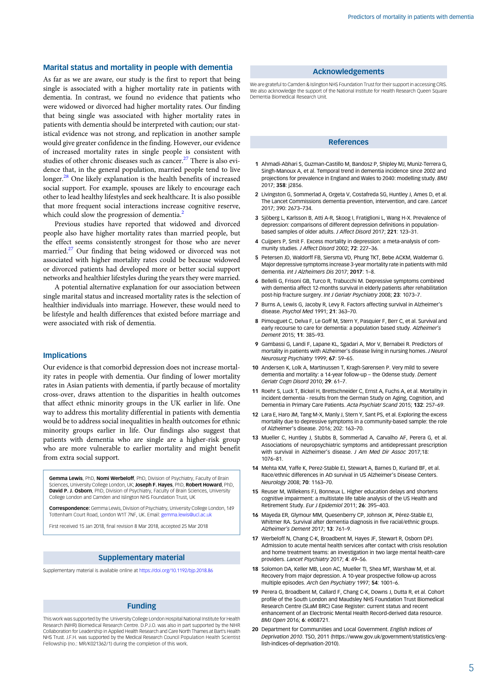# <span id="page-4-0"></span>Marital status and mortality in people with dementia

As far as we are aware, our study is the first to report that being single is associated with a higher mortality rate in patients with dementia. In contrast, we found no evidence that patients who were widowed or divorced had higher mortality rates. Our finding that being single was associated with higher mortality rates in patients with dementia should be interpreted with caution; our statistical evidence was not strong, and replication in another sample would give greater confidence in the finding. However, our evidence of increased mortality rates in single people is consistent with studies of other chronic diseases such as cancer.<sup>[27](#page-5-0)</sup> There is also evidence that, in the general population, married people tend to live longer.<sup>28</sup> One likely explanation is the health benefits of increased social support. For example, spouses are likely to encourage each other to lead healthy lifestyles and seek healthcare. It is also possible that more frequent social interactions increase cognitive reserve, which could slow the progression of dementia.<sup>2</sup>

Previous studies have reported that widowed and divorced people also have higher mortality rates than married people, but the effect seems consistently strongest for those who are never married.<sup>[27](#page-5-0)</sup> Our finding that being widowed or divorced was not associated with higher mortality rates could be because widowed or divorced patients had developed more or better social support networks and healthier lifestyles during the years they were married.

A potential alternative explanation for our association between single marital status and increased mortality rates is the selection of healthier individuals into marriage. However, these would need to be lifestyle and health differences that existed before marriage and were associated with risk of dementia.

# Implications

Our evidence is that comorbid depression does not increase mortality rates in people with dementia. Our finding of lower mortality rates in Asian patients with dementia, if partly because of mortality cross-over, draws attention to the disparities in health outcomes that affect ethnic minority groups in the UK earlier in life. One way to address this mortality differential in patients with dementia would be to address social inequalities in health outcomes for ethnic minority groups earlier in life. Our findings also suggest that patients with dementia who are single are a higher-risk group who are more vulnerable to earlier mortality and might benefit from extra social support.

Gemma Lewis, PhD, Nomi Werbeloff, PhD, Division of Psychiatry, Faculty of Brain Sciences, University College London, UK; Joseph F. Hayes, PhD, Robert Howard, PhD, David P. J. Osborn, PhD, Division of Psychiatry, Faculty of Brain Sciences, University College London and Camden and Islington NHS Foundation Trust, UK

Correspondence: Gemma Lewis, Division of Psychiatry, University College London, 149 Tottenham Court Road, London W1T 7NF, UK. Email: [gemma.lewis@ucl.ac.uk](mailto:gemma.lewis@ucl.ac.uk)

First received 15 Jan 2018, final revision 8 Mar 2018, accepted 25 Mar 2018

### Supplementary material

Supplementary material is available online at <https://doi.org/10.1192/bjp.2018.86>

# Funding

This work was supported by the University College London Hospital National Institute for Health Research (NIHR) Biomedical Research Centre. D.P.J.O. was also in part supported by the NIHR Collaboration for Leadership in Applied Health Research and Care North Thames at Bart's Health NHS Trust. J.F.H. was supported by the Medical Research Council Population Health Scientist Fellowship (no.: MR/K021362/1) during the completion of this work.

# Acknowledgements

We are grateful to Camden & Islington NHS Foundation Trust for their support in accessing CRIS. We also acknowledge the support of the National Institute for Health Research Queen Square Dementia Biomedical Research Unit.

#### **References**

- 1 Ahmadi-Abhari S, Guzman-Castillo M, Bandosz P, Shipley MJ, Muniz-Terrera G, Singh-Manoux A, et al. Temporal trend in dementia incidence since 2002 and projections for prevalence in England and Wales to 2040: modelling study. BMJ 2017; 358: j2856.
- 2 Livingston G, Sommerlad A, Orgeta V, Costafreda SG, Huntley J, Ames D, et al. The Lancet Commissions dementia prevention, intervention, and care. Lancet 2017; 390: 2673–734.
- 3 Sjöberg L, Karlsson B, Atti A-R, Skoog I, Fratiglioni L, Wang H-X. Prevalence of depression: comparisons of different depression definitions in populationbased samples of older adults. J Affect Disord 2017; 221: 123–31.
- 4 Cuijpers P, Smit F. Excess mortality in depression: a meta-analysis of community studies. J Affect Disord 2002; 72: 227–36.
- 5 Petersen JD, Waldorff FB, Siersma VD, Phung TKT, Bebe ACKM, Waldemar G. Major depressive symptoms increase 3-year mortality rate in patients with mild dementia. Int J Alzheimers Dis 2017; 2017: 1–8.
- 6 Bellelli G, Frisoni GB, Turco R, Trabucchi M. Depressive symptoms combined with dementia affect 12-months survival in elderly patients after rehabilitation post-hip fracture surgery. Int J Geriatr Psychiatry 2008; 23: 1073–7.
- 7 Burns A, Lewis G, Jacoby R, Levy R. Factors affecting survival in Alzheimer's disease. Psychol Med 1991; 21: 363–70.
- 8 Pimouguet C, Delva F, Le Goff M, Stern Y, Pasquier F, Berr C, et al. Survival and early recourse to care for dementia: a population based study. Alzheimer's Dement 2015; 11: 385–93.
- 9 Gambassi G, Landi F, Lapane KL, Sgadari A, Mor V, Bernabei R. Predictors of mortality in patients with Alzheimer's disease living in nursing homes. J Neurol Neurosurg Psychiatry 1999; 67: 59–65.
- 10 Andersen K, Lolk A, Martinussen T, Kragh-Sørensen P. Very mild to severe dementia and mortality: a 14-year follow-up – the Odense study. Dement Geriatr Cogn Disord 2010; 29: 61–7.
- 11 Roehr S, Luck T, Bickel H, Brettschneider C, Ernst A, Fuchs A, et al. Mortality in incident dementia - results from the German Study on Aging, Cognition, and Dementia in Primary Care Patients. Acta Psychiatr Scand 2015; 132: 257–69.
- 12 Lara E, Haro JM, Tang M-X, Manly J, Stern Y, Sant PS, et al. Exploring the excess mortality due to depressive symptoms in a community-based sample: the role of Alzheimer's disease. 2016; 202: 163–70.
- 13 Mueller C, Huntley J, Stubbs B, Sommerlad A, Carvalho AF, Perera G, et al. Associations of neuropsychiatric symptoms and antidepressant prescription with survival in Alzheimer's disease. J Am Med Dir Assoc 2017;18: 1076–81.
- 14 Mehta KM, Yaffe K, Perez-Stable EJ, Stewart A, Barnes D, Kurland BF, et al. Race/ethnic differences in AD survival in US Alzheimer's Disease Centers. Neurology 2008; 70: 1163–70.
- 15 Reuser M, Willekens FJ, Bonneux L. Higher education delays and shortens cognitive impairment: a multistate life table analysis of the US Health and Retirement Study. Eur J Epidemiol 2011; 26: 395–403.
- 16 Mayeda ER, Glymour MM, Quesenberry CP, Johnson JK, Pérez-Stable EJ, Whitmer RA. Survival after dementia diagnosis in five racial/ethnic groups. Alzheimer's Dement 2017; 13: 761–9.
- 17 Werbeloff N, Chang C-K, Broadbent M, Hayes JF, Stewart R, Osborn DPJ. Admission to acute mental health services after contact with crisis resolution and home treatment teams: an investigation in two large mental health-care providers. Lancet Psychiatry 2017; 4: 49–56.
- 18 Solomon DA, Keller MB, Leon AC, Mueller TI, Shea MT, Warshaw M, et al. Recovery from major depression. A 10-year prospective follow-up across multiple episodes. Arch Gen Psychiatry 1997; 54: 1001–6.
- 19 Perera G, Broadbent M, Callard F, Chang C-K, Downs J, Dutta R, et al. Cohort profile of the South London and Maudsley NHS Foundation Trust Biomedical Research Centre (SLaM BRC) Case Register: current status and recent enhancement of an Electronic Mental Health Record-derived data resource. BMJ Open 2016; 6: e008721.
- 20 Department for Communities and Local Government. English Indices of Deprivation 2010. TSO, 2011 (https://www.gov.uk/government/statistics/english-indices-of-deprivation-2010).